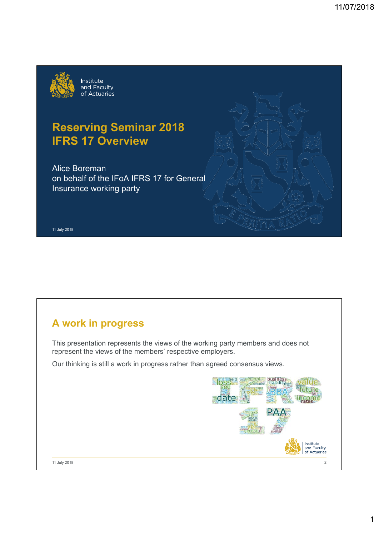

## **Reserving Seminar 2018 IFRS 17 Overview**

Alice Boreman on behalf of the IFoA IFRS 17 for General Insurance working party

11 July 2018

## **A work in progress**

This presentation represents the views of the working party members and does not represent the views of the members' respective employers.

Our thinking is still a work in progress rather than agreed consensus views.

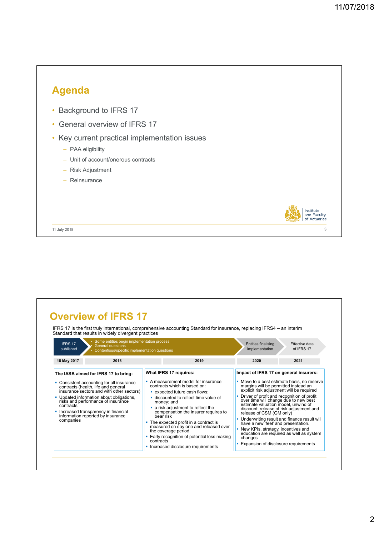

|                        | Standard that results in widely divergent practices                                                                                                                                                                                                                                                                                   | IFRS 17 is the first truly international, comprehensive accounting Standard for insurance, replacing IFRS4 – an interim                                                                                                                                                                                                                                                                                                                                                    |                                                                                                                                                                                                                                                                                                                                                                                                                                                                                                                           |                                          |
|------------------------|---------------------------------------------------------------------------------------------------------------------------------------------------------------------------------------------------------------------------------------------------------------------------------------------------------------------------------------|----------------------------------------------------------------------------------------------------------------------------------------------------------------------------------------------------------------------------------------------------------------------------------------------------------------------------------------------------------------------------------------------------------------------------------------------------------------------------|---------------------------------------------------------------------------------------------------------------------------------------------------------------------------------------------------------------------------------------------------------------------------------------------------------------------------------------------------------------------------------------------------------------------------------------------------------------------------------------------------------------------------|------------------------------------------|
| IFRS 17<br>published   | • Some entities begin implementation process<br><b>General questions</b><br>Contentious/specific implementation questions                                                                                                                                                                                                             |                                                                                                                                                                                                                                                                                                                                                                                                                                                                            | <b>Entities finalising</b><br>Effective date<br>implementation<br>of IFRS 17                                                                                                                                                                                                                                                                                                                                                                                                                                              |                                          |
| 18 May 2017            | 2018                                                                                                                                                                                                                                                                                                                                  | 2019                                                                                                                                                                                                                                                                                                                                                                                                                                                                       | 2020                                                                                                                                                                                                                                                                                                                                                                                                                                                                                                                      | 2021                                     |
| contracts<br>companies | The IASB aimed for IFRS 17 to bring:<br>• Consistent accounting for all insurance<br>contracts (health, life and general<br>insurance sectors and with other sectors)<br>• Updated information about obligations,<br>risks and performance of insurance<br>• Increased transparency in financial<br>information reported by insurance | • A measurement model for insurance<br>contracts which is based on:<br>• expected future cash flows;<br>• discounted to reflect time value of<br>money; and<br>• a risk adjustment to reflect the<br>compensation the insurer requires to<br>bear risk<br>The expected profit in a contract is<br>٠<br>measured on day one and released over<br>the coverage period<br>Early recognition of potential loss making<br>ш<br>contracts<br>• Increased disclosure requirements | • Move to a best estimate basis, no reserve<br>margins will be permitted instead an<br>explicit risk adjustment will be required<br>Driver of profit and recognition of profit<br>over time will change due to new best<br>estimate valuation model, unwind of<br>discount, release of risk adjustment and<br>release of CSM (GM only)<br>Underwriting result and finance result will<br>have a new 'feel' and presentation.<br>• New KPIs, strategy, incentives and<br>changes<br>• Expansion of disclosure requirements | education are required as well as system |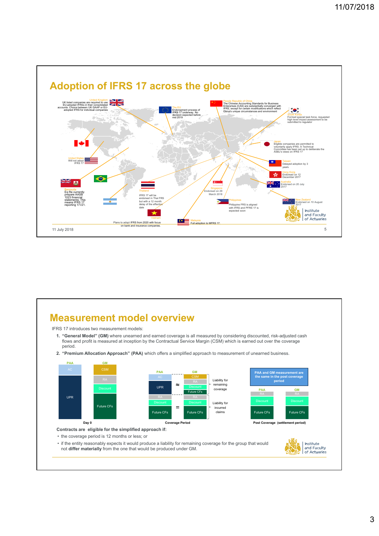

## **Measurement model overview**

IFRS 17 introduces two measurement models:

- **1. "General Model" (GM)** where unearned and earned coverage is all measured by considering discounted, risk-adjusted cash flows and profit is measured at inception by the Contractual Service Margin (CSM) which is earned out over the coverage period.
- **2. "Premium Allocation Approach" (PAA)** which offers a simplified approach to measurement of unearned business.

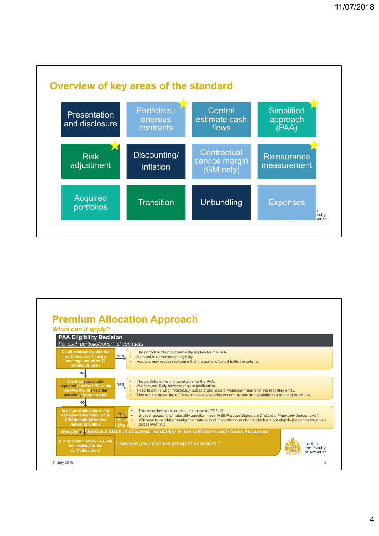

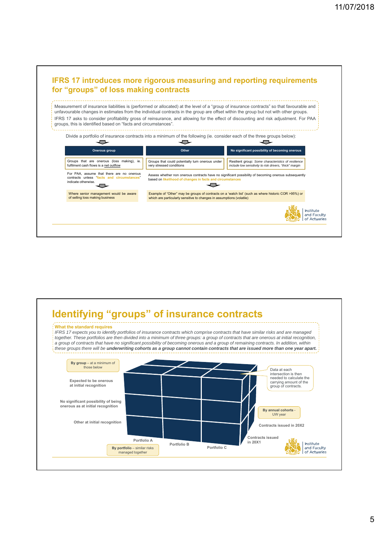

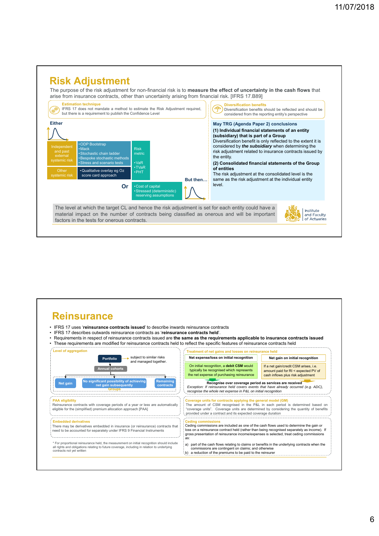